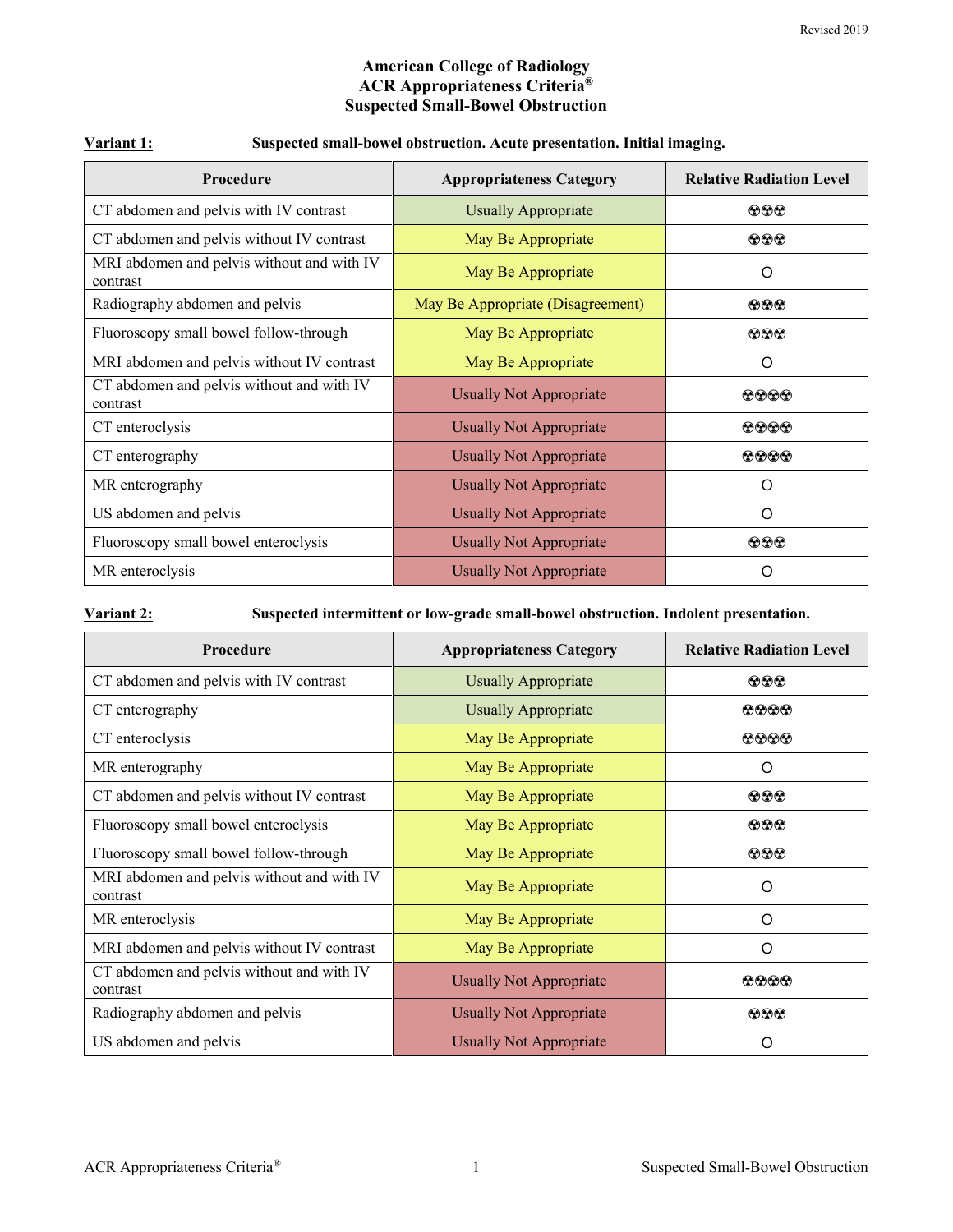#### **American College of Radiology ACR Appropriateness Criteria® Suspected Small-Bowel Obstruction**

| Procedure                                              | <b>Appropriateness Category</b>   | <b>Relative Radiation Level</b> |
|--------------------------------------------------------|-----------------------------------|---------------------------------|
| CT abdomen and pelvis with IV contrast                 | <b>Usually Appropriate</b>        | $\circledcirc$                  |
| CT abdomen and pelvis without IV contrast              | May Be Appropriate                | $\bf{OO}$                       |
| MRI abdomen and pelvis without and with IV<br>contrast | May Be Appropriate                | O                               |
| Radiography abdomen and pelvis                         | May Be Appropriate (Disagreement) | $\bf{OO}$                       |
| Fluoroscopy small bowel follow-through                 | May Be Appropriate                | $\bf{O} \bf{O} \bf{O}$          |
| MRI abdomen and pelvis without IV contrast             | May Be Appropriate                | O                               |
| CT abdomen and pelvis without and with IV<br>contrast  | <b>Usually Not Appropriate</b>    | 0000                            |
| CT enteroclysis                                        | <b>Usually Not Appropriate</b>    | 0000                            |
| CT enterography                                        | <b>Usually Not Appropriate</b>    | $\bullet\bullet\bullet\bullet$  |
| MR enterography                                        | <b>Usually Not Appropriate</b>    | O                               |
| US abdomen and pelvis                                  | <b>Usually Not Appropriate</b>    | O                               |
| Fluoroscopy small bowel enteroclysis                   | <b>Usually Not Appropriate</b>    | $\bf{OO}$                       |
| MR enteroclysis                                        | <b>Usually Not Appropriate</b>    | ∩                               |

### **Variant 1: Suspected small-bowel obstruction. Acute presentation. Initial imaging.**

**Variant 2: Suspected intermittent or low-grade small-bowel obstruction. Indolent presentation.**

| <b>Procedure</b>                                       | <b>Appropriateness Category</b> | <b>Relative Radiation Level</b> |
|--------------------------------------------------------|---------------------------------|---------------------------------|
| CT abdomen and pelvis with IV contrast                 | <b>Usually Appropriate</b>      | $\Omega$ $\Omega$ $\Omega$      |
| CT enterography                                        | <b>Usually Appropriate</b>      | $\Omega$ $\Omega$ $\Omega$      |
| CT enteroclysis                                        | May Be Appropriate              | $\Omega$ $\Omega$ $\Omega$      |
| MR enterography                                        | May Be Appropriate              | O                               |
| CT abdomen and pelvis without IV contrast              | May Be Appropriate              | $\odot\odot\odot$               |
| Fluoroscopy small bowel enteroclysis                   | May Be Appropriate              | $\Omega$ $\Omega$ $\Omega$      |
| Fluoroscopy small bowel follow-through                 | May Be Appropriate              | $\bf{O} \bf{O} \bf{O}$          |
| MRI abdomen and pelvis without and with IV<br>contrast | May Be Appropriate              | O                               |
| MR enteroclysis                                        | May Be Appropriate              | $\Omega$                        |
| MRI abdomen and pelvis without IV contrast             | May Be Appropriate              | $\Omega$                        |
| CT abdomen and pelvis without and with IV<br>contrast  | <b>Usually Not Appropriate</b>  | 0000                            |
| Radiography abdomen and pelvis                         | <b>Usually Not Appropriate</b>  | $\bf{O} \bf{O} \bf{O}$          |
| US abdomen and pelvis                                  | <b>Usually Not Appropriate</b>  | O                               |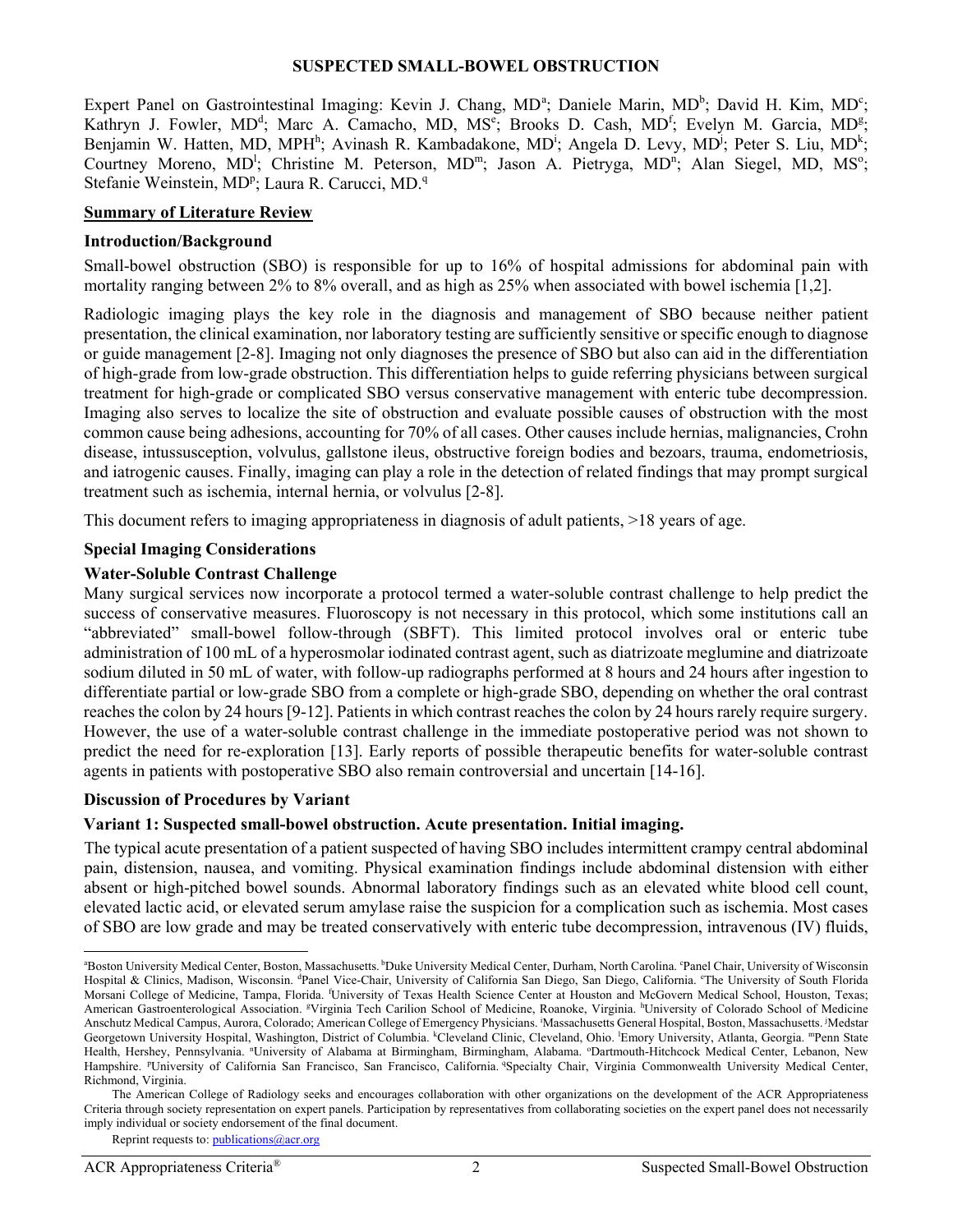#### **SUSPECTED SMALL-BOWEL OBSTRUCTION**

Expert P[a](#page-1-0)nel on Gastrointestinal Imaging: Kevin J. Chang, MD<sup>a</sup>; Daniele Marin, MD<sup>b</sup>; David H. Kim, MD<sup>c</sup>; Kathryn J. Fowler, MD<sup>d</sup>; Marc A. Camacho, MD, MS<sup>e</sup>; Brooks D. Cash, MD<sup>f</sup>; Evelyn M. Garcia, MD<sup>g</sup>; Benjamin W. Hatten, MD, MPH<sup>h</sup>; Avinash R. Kambadakone, MD<sup>i</sup>; Angela D. Levy, MD<sup>j</sup>; Peter S. Liu, MD<sup>k</sup>; Courtney Moreno, MD<sup>1</sup>; Christine M. Peterson, MD<sup>m</sup>; Jason A. Pietryga, MD<sup>n</sup>; Alan Siegel, MD, MS°; Stefanie Weinstein, MD<sup>p</sup>; Laura R. Carucci, MD.<sup>q</sup>

#### **Summary of Literature Review**

#### **Introduction/Background**

Small-bowel obstruction (SBO) is responsible for up to 16% of hospital admissions for abdominal pain with mortality ranging between 2% to 8% overall, and as high as 25% when associated with bowel ischemia [1,2].

Radiologic imaging plays the key role in the diagnosis and management of SBO because neither patient presentation, the clinical examination, nor laboratory testing are sufficiently sensitive or specific enough to diagnose or guide management [2-8]. Imaging not only diagnoses the presence of SBO but also can aid in the differentiation of high-grade from low-grade obstruction. This differentiation helps to guide referring physicians between surgical treatment for high-grade or complicated SBO versus conservative management with enteric tube decompression. Imaging also serves to localize the site of obstruction and evaluate possible causes of obstruction with the most common cause being adhesions, accounting for 70% of all cases. Other causes include hernias, malignancies, Crohn disease, intussusception, volvulus, gallstone ileus, obstructive foreign bodies and bezoars, trauma, endometriosis, and iatrogenic causes. Finally, imaging can play a role in the detection of related findings that may prompt surgical treatment such as ischemia, internal hernia, or volvulus [2-8].

This document refers to imaging appropriateness in diagnosis of adult patients, >18 years of age.

#### **Special Imaging Considerations**

#### **Water-Soluble Contrast Challenge**

Many surgical services now incorporate a protocol termed a water-soluble contrast challenge to help predict the success of conservative measures. Fluoroscopy is not necessary in this protocol, which some institutions call an "abbreviated" small-bowel follow-through (SBFT). This limited protocol involves oral or enteric tube administration of 100 mL of a hyperosmolar iodinated contrast agent, such as diatrizoate meglumine and diatrizoate sodium diluted in 50 mL of water, with follow-up radiographs performed at 8 hours and 24 hours after ingestion to differentiate partial or low-grade SBO from a complete or high-grade SBO, depending on whether the oral contrast reaches the colon by 24 hours [9-12]. Patients in which contrast reaches the colon by 24 hours rarely require surgery. However, the use of a water-soluble contrast challenge in the immediate postoperative period was not shown to predict the need for re-exploration [13]. Early reports of possible therapeutic benefits for water-soluble contrast agents in patients with postoperative SBO also remain controversial and uncertain [14-16].

#### **Discussion of Procedures by Variant**

#### **Variant 1: Suspected small-bowel obstruction. Acute presentation. Initial imaging.**

The typical acute presentation of a patient suspected of having SBO includes intermittent crampy central abdominal pain, distension, nausea, and vomiting. Physical examination findings include abdominal distension with either absent or high-pitched bowel sounds. Abnormal laboratory findings such as an elevated white blood cell count, elevated lactic acid, or elevated serum amylase raise the suspicion for a complication such as ischemia. Most cases of SBO are low grade and may be treated conservatively with enteric tube decompression, intravenous (IV) fluids,

<span id="page-1-0"></span><sup>&</sup>lt;u>a</u> Boston University Medical Center, Boston, Massachusetts. <sup>b</sup>Duke University Medical Center, Durham, North Carolina. <sup>c</sup>Panel Chair, University of Wisconsin Hospital & Clinics, Madison, Wisconsin. <sup>d</sup>Panel Vice-Chair, University of California San Diego, San Diego, California. <sup>e</sup>The University of South Florida Morsani College of Medicine, Tampa, Florida. <sup>f</sup>University of Texas Health Science Center at Houston and McGovern Medical School, Houston, Texas; American Gastroenterological Association. <sup>g</sup>Virginia Tech Carilion School of Medicine, Roanoke, Virginia. <sup>h</sup>University of Colorado School of Medicine Anschutz Medical Campus, Aurora, Colorado; American College of Emergency Physicians. i Massachusetts General Hospital, Boston, Massachusetts. j Medstar Georgetown University Hospital, Washington, District of Columbia. Kleveland Clinic, Cleveland, Ohio. Emory University, Atlanta, Georgia. "Penn State Health, Hershey, Pennsylvania. "University of Alabama at Birmingham, Birmingham, Alabama. "Dartmouth-Hitchcock Medical Center, Lebanon, New Hampshire. <sup>p</sup>University of California San Francisco, San Francisco, California. <sup>q</sup>Specialty Chair, Virginia Commonwealth University Medical Center, Richmond, Virginia.

The American College of Radiology seeks and encourages collaboration with other organizations on the development of the ACR Appropriateness Criteria through society representation on expert panels. Participation by representatives from collaborating societies on the expert panel does not necessarily imply individual or society endorsement of the final document.

Reprint requests to[: publications@acr.org](mailto:publications@acr.org)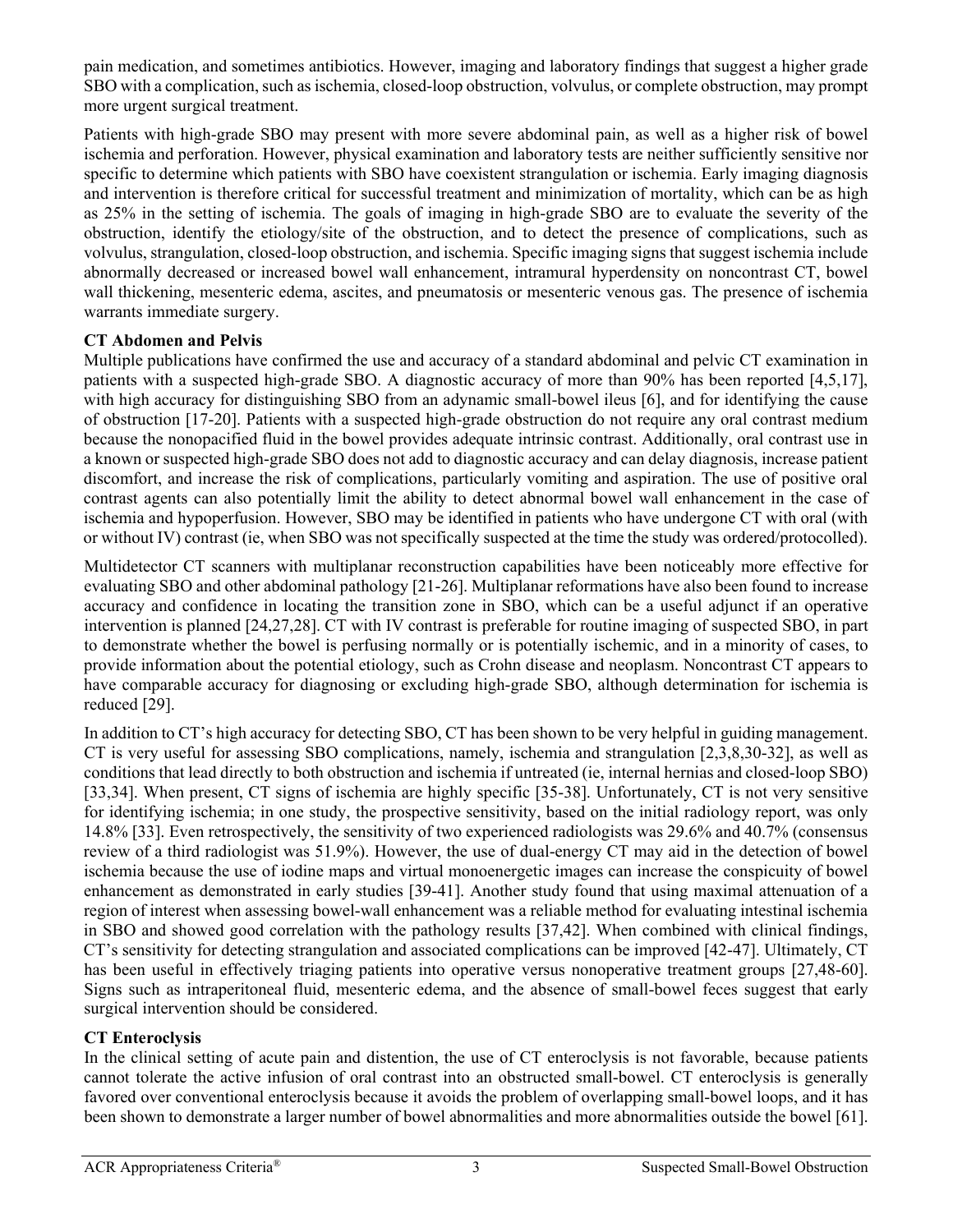pain medication, and sometimes antibiotics. However, imaging and laboratory findings that suggest a higher grade SBO with a complication, such as ischemia, closed-loop obstruction, volvulus, or complete obstruction, may prompt more urgent surgical treatment.

Patients with high-grade SBO may present with more severe abdominal pain, as well as a higher risk of bowel ischemia and perforation. However, physical examination and laboratory tests are neither sufficiently sensitive nor specific to determine which patients with SBO have coexistent strangulation or ischemia. Early imaging diagnosis and intervention is therefore critical for successful treatment and minimization of mortality, which can be as high as 25% in the setting of ischemia. The goals of imaging in high-grade SBO are to evaluate the severity of the obstruction, identify the etiology/site of the obstruction, and to detect the presence of complications, such as volvulus, strangulation, closed-loop obstruction, and ischemia. Specific imaging signs that suggest ischemia include abnormally decreased or increased bowel wall enhancement, intramural hyperdensity on noncontrast CT, bowel wall thickening, mesenteric edema, ascites, and pneumatosis or mesenteric venous gas. The presence of ischemia warrants immediate surgery.

## **CT Abdomen and Pelvis**

Multiple publications have confirmed the use and accuracy of a standard abdominal and pelvic CT examination in patients with a suspected high-grade SBO. A diagnostic accuracy of more than 90% has been reported [4,5,17], with high accuracy for distinguishing SBO from an adynamic small-bowel ileus [6], and for identifying the cause of obstruction [17-20]. Patients with a suspected high-grade obstruction do not require any oral contrast medium because the nonopacified fluid in the bowel provides adequate intrinsic contrast. Additionally, oral contrast use in a known or suspected high-grade SBO does not add to diagnostic accuracy and can delay diagnosis, increase patient discomfort, and increase the risk of complications, particularly vomiting and aspiration. The use of positive oral contrast agents can also potentially limit the ability to detect abnormal bowel wall enhancement in the case of ischemia and hypoperfusion. However, SBO may be identified in patients who have undergone CT with oral (with or without IV) contrast (ie, when SBO was not specifically suspected at the time the study was ordered/protocolled).

Multidetector CT scanners with multiplanar reconstruction capabilities have been noticeably more effective for evaluating SBO and other abdominal pathology [21-26]. Multiplanar reformations have also been found to increase accuracy and confidence in locating the transition zone in SBO, which can be a useful adjunct if an operative intervention is planned [24,27,28]. CT with IV contrast is preferable for routine imaging of suspected SBO, in part to demonstrate whether the bowel is perfusing normally or is potentially ischemic, and in a minority of cases, to provide information about the potential etiology, such as Crohn disease and neoplasm. Noncontrast CT appears to have comparable accuracy for diagnosing or excluding high-grade SBO, although determination for ischemia is reduced [29].

In addition to CT's high accuracy for detecting SBO, CT has been shown to be very helpful in guiding management. CT is very useful for assessing SBO complications, namely, ischemia and strangulation [2,3,8,30-32], as well as conditions that lead directly to both obstruction and ischemia if untreated (ie, internal hernias and closed-loop SBO) [33,34]. When present, CT signs of ischemia are highly specific [35-38]. Unfortunately, CT is not very sensitive for identifying ischemia; in one study, the prospective sensitivity, based on the initial radiology report, was only 14.8% [33]. Even retrospectively, the sensitivity of two experienced radiologists was 29.6% and 40.7% (consensus review of a third radiologist was 51.9%). However, the use of dual-energy CT may aid in the detection of bowel ischemia because the use of iodine maps and virtual monoenergetic images can increase the conspicuity of bowel enhancement as demonstrated in early studies [39-41]. Another study found that using maximal attenuation of a region of interest when assessing bowel-wall enhancement was a reliable method for evaluating intestinal ischemia in SBO and showed good correlation with the pathology results [37,42]. When combined with clinical findings, CT's sensitivity for detecting strangulation and associated complications can be improved [42-47]. Ultimately, CT has been useful in effectively triaging patients into operative versus nonoperative treatment groups [27,48-60]. Signs such as intraperitoneal fluid, mesenteric edema, and the absence of small-bowel feces suggest that early surgical intervention should be considered.

## **CT Enteroclysis**

In the clinical setting of acute pain and distention, the use of CT enteroclysis is not favorable, because patients cannot tolerate the active infusion of oral contrast into an obstructed small-bowel. CT enteroclysis is generally favored over conventional enteroclysis because it avoids the problem of overlapping small-bowel loops, and it has been shown to demonstrate a larger number of bowel abnormalities and more abnormalities outside the bowel [61].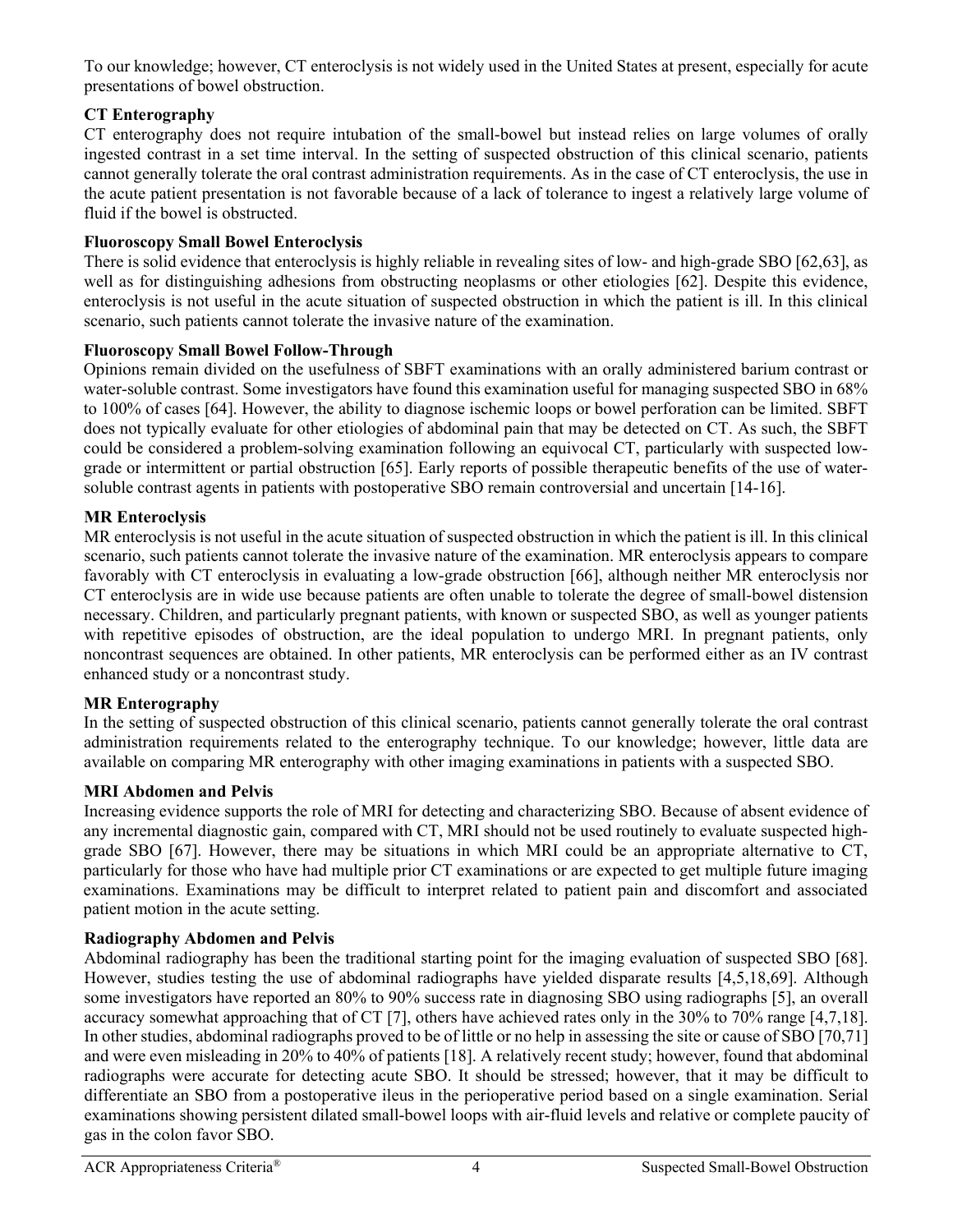To our knowledge; however, CT enteroclysis is not widely used in the United States at present, especially for acute presentations of bowel obstruction.

# **CT Enterography**

CT enterography does not require intubation of the small-bowel but instead relies on large volumes of orally ingested contrast in a set time interval. In the setting of suspected obstruction of this clinical scenario, patients cannot generally tolerate the oral contrast administration requirements. As in the case of CT enteroclysis, the use in the acute patient presentation is not favorable because of a lack of tolerance to ingest a relatively large volume of fluid if the bowel is obstructed.

## **Fluoroscopy Small Bowel Enteroclysis**

There is solid evidence that enteroclysis is highly reliable in revealing sites of low- and high-grade SBO [62,63], as well as for distinguishing adhesions from obstructing neoplasms or other etiologies [62]. Despite this evidence, enteroclysis is not useful in the acute situation of suspected obstruction in which the patient is ill. In this clinical scenario, such patients cannot tolerate the invasive nature of the examination.

# **Fluoroscopy Small Bowel Follow-Through**

Opinions remain divided on the usefulness of SBFT examinations with an orally administered barium contrast or water-soluble contrast. Some investigators have found this examination useful for managing suspected SBO in 68% to 100% of cases [64]. However, the ability to diagnose ischemic loops or bowel perforation can be limited. SBFT does not typically evaluate for other etiologies of abdominal pain that may be detected on CT. As such, the SBFT could be considered a problem-solving examination following an equivocal CT, particularly with suspected lowgrade or intermittent or partial obstruction [65]. Early reports of possible therapeutic benefits of the use of watersoluble contrast agents in patients with postoperative SBO remain controversial and uncertain [14-16].

# **MR Enteroclysis**

MR enteroclysis is not useful in the acute situation of suspected obstruction in which the patient is ill. In this clinical scenario, such patients cannot tolerate the invasive nature of the examination. MR enteroclysis appears to compare favorably with CT enteroclysis in evaluating a low-grade obstruction [66], although neither MR enteroclysis nor CT enteroclysis are in wide use because patients are often unable to tolerate the degree of small-bowel distension necessary. Children, and particularly pregnant patients, with known or suspected SBO, as well as younger patients with repetitive episodes of obstruction, are the ideal population to undergo MRI. In pregnant patients, only noncontrast sequences are obtained. In other patients, MR enteroclysis can be performed either as an IV contrast enhanced study or a noncontrast study.

# **MR Enterography**

In the setting of suspected obstruction of this clinical scenario, patients cannot generally tolerate the oral contrast administration requirements related to the enterography technique. To our knowledge; however, little data are available on comparing MR enterography with other imaging examinations in patients with a suspected SBO.

# **MRI Abdomen and Pelvis**

Increasing evidence supports the role of MRI for detecting and characterizing SBO. Because of absent evidence of any incremental diagnostic gain, compared with CT, MRI should not be used routinely to evaluate suspected highgrade SBO [67]. However, there may be situations in which MRI could be an appropriate alternative to CT, particularly for those who have had multiple prior CT examinations or are expected to get multiple future imaging examinations. Examinations may be difficult to interpret related to patient pain and discomfort and associated patient motion in the acute setting.

# **Radiography Abdomen and Pelvis**

Abdominal radiography has been the traditional starting point for the imaging evaluation of suspected SBO [68]. However, studies testing the use of abdominal radiographs have yielded disparate results [4,5,18,69]. Although some investigators have reported an 80% to 90% success rate in diagnosing SBO using radiographs [5], an overall accuracy somewhat approaching that of CT [7], others have achieved rates only in the 30% to 70% range [4,7,18]. In other studies, abdominal radiographs proved to be of little or no help in assessing the site or cause of SBO [70,71] and were even misleading in 20% to 40% of patients [18]. A relatively recent study; however, found that abdominal radiographs were accurate for detecting acute SBO. It should be stressed; however, that it may be difficult to differentiate an SBO from a postoperative ileus in the perioperative period based on a single examination. Serial examinations showing persistent dilated small-bowel loops with air-fluid levels and relative or complete paucity of gas in the colon favor SBO.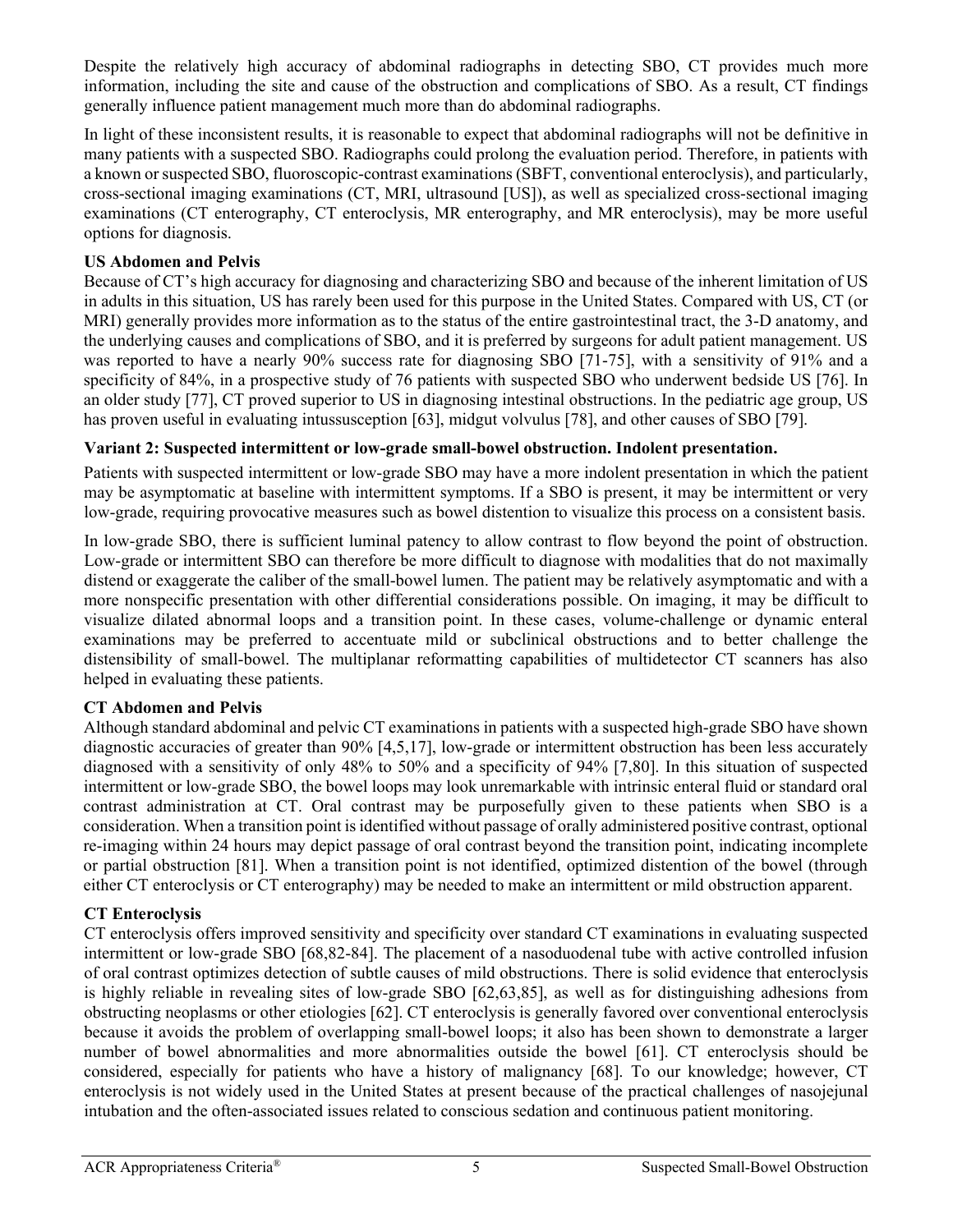Despite the relatively high accuracy of abdominal radiographs in detecting SBO, CT provides much more information, including the site and cause of the obstruction and complications of SBO. As a result, CT findings generally influence patient management much more than do abdominal radiographs.

In light of these inconsistent results, it is reasonable to expect that abdominal radiographs will not be definitive in many patients with a suspected SBO. Radiographs could prolong the evaluation period. Therefore, in patients with a known or suspected SBO, fluoroscopic-contrast examinations (SBFT, conventional enteroclysis), and particularly, cross-sectional imaging examinations (CT, MRI, ultrasound [US]), as well as specialized cross-sectional imaging examinations (CT enterography, CT enteroclysis, MR enterography, and MR enteroclysis), may be more useful options for diagnosis.

## **US Abdomen and Pelvis**

Because of CT's high accuracy for diagnosing and characterizing SBO and because of the inherent limitation of US in adults in this situation, US has rarely been used for this purpose in the United States. Compared with US, CT (or MRI) generally provides more information as to the status of the entire gastrointestinal tract, the 3-D anatomy, and the underlying causes and complications of SBO, and it is preferred by surgeons for adult patient management. US was reported to have a nearly 90% success rate for diagnosing SBO [71-75], with a sensitivity of 91% and a specificity of 84%, in a prospective study of 76 patients with suspected SBO who underwent bedside US [76]. In an older study [77], CT proved superior to US in diagnosing intestinal obstructions. In the pediatric age group, US has proven useful in evaluating intussusception [63], midgut volvulus [78], and other causes of SBO [79].

## **Variant 2: Suspected intermittent or low-grade small-bowel obstruction. Indolent presentation.**

Patients with suspected intermittent or low-grade SBO may have a more indolent presentation in which the patient may be asymptomatic at baseline with intermittent symptoms. If a SBO is present, it may be intermittent or very low-grade, requiring provocative measures such as bowel distention to visualize this process on a consistent basis.

In low-grade SBO, there is sufficient luminal patency to allow contrast to flow beyond the point of obstruction. Low-grade or intermittent SBO can therefore be more difficult to diagnose with modalities that do not maximally distend or exaggerate the caliber of the small-bowel lumen. The patient may be relatively asymptomatic and with a more nonspecific presentation with other differential considerations possible. On imaging, it may be difficult to visualize dilated abnormal loops and a transition point. In these cases, volume-challenge or dynamic enteral examinations may be preferred to accentuate mild or subclinical obstructions and to better challenge the distensibility of small-bowel. The multiplanar reformatting capabilities of multidetector CT scanners has also helped in evaluating these patients.

## **CT Abdomen and Pelvis**

Although standard abdominal and pelvic CT examinations in patients with a suspected high-grade SBO have shown diagnostic accuracies of greater than 90% [4,5,17], low-grade or intermittent obstruction has been less accurately diagnosed with a sensitivity of only 48% to 50% and a specificity of 94% [7,80]. In this situation of suspected intermittent or low-grade SBO, the bowel loops may look unremarkable with intrinsic enteral fluid or standard oral contrast administration at CT. Oral contrast may be purposefully given to these patients when SBO is a consideration. When a transition point isidentified without passage of orally administered positive contrast, optional re-imaging within 24 hours may depict passage of oral contrast beyond the transition point, indicating incomplete or partial obstruction [81]. When a transition point is not identified, optimized distention of the bowel (through either CT enteroclysis or CT enterography) may be needed to make an intermittent or mild obstruction apparent.

# **CT Enteroclysis**

CT enteroclysis offers improved sensitivity and specificity over standard CT examinations in evaluating suspected intermittent or low-grade SBO [68,82-84]. The placement of a nasoduodenal tube with active controlled infusion of oral contrast optimizes detection of subtle causes of mild obstructions. There is solid evidence that enteroclysis is highly reliable in revealing sites of low-grade SBO [62,63,85], as well as for distinguishing adhesions from obstructing neoplasms or other etiologies [62]. CT enteroclysis is generally favored over conventional enteroclysis because it avoids the problem of overlapping small-bowel loops; it also has been shown to demonstrate a larger number of bowel abnormalities and more abnormalities outside the bowel [61]. CT enteroclysis should be considered, especially for patients who have a history of malignancy [68]. To our knowledge; however, CT enteroclysis is not widely used in the United States at present because of the practical challenges of nasojejunal intubation and the often-associated issues related to conscious sedation and continuous patient monitoring.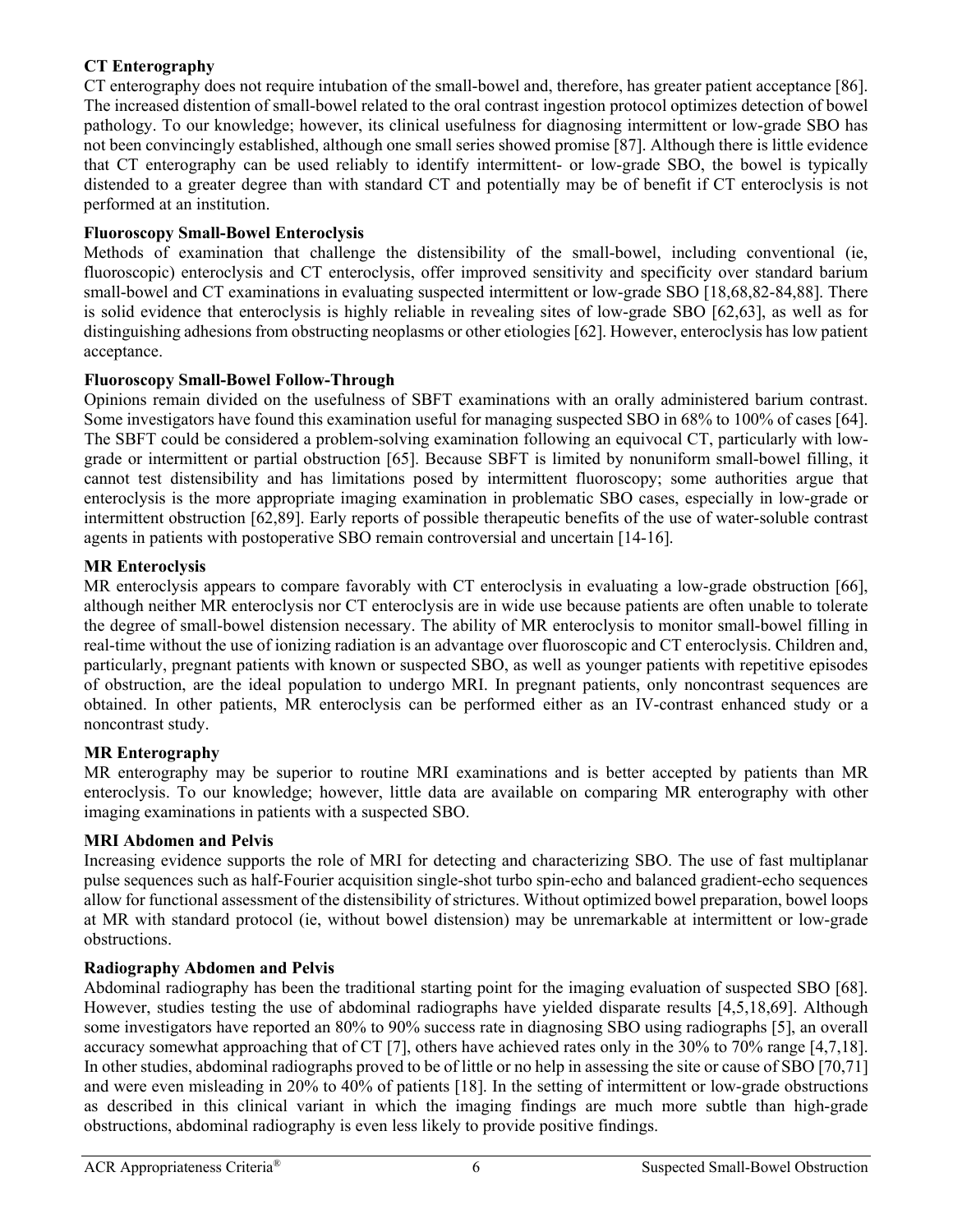## **CT Enterography**

CT enterography does not require intubation of the small-bowel and, therefore, has greater patient acceptance [86]. The increased distention of small-bowel related to the oral contrast ingestion protocol optimizes detection of bowel pathology. To our knowledge; however, its clinical usefulness for diagnosing intermittent or low-grade SBO has not been convincingly established, although one small series showed promise [87]. Although there is little evidence that CT enterography can be used reliably to identify intermittent- or low-grade SBO, the bowel is typically distended to a greater degree than with standard CT and potentially may be of benefit if CT enteroclysis is not performed at an institution.

### **Fluoroscopy Small-Bowel Enteroclysis**

Methods of examination that challenge the distensibility of the small-bowel, including conventional (ie, fluoroscopic) enteroclysis and CT enteroclysis, offer improved sensitivity and specificity over standard barium small-bowel and CT examinations in evaluating suspected intermittent or low-grade SBO [18,68,82-84,88]. There is solid evidence that enteroclysis is highly reliable in revealing sites of low-grade SBO [62,63], as well as for distinguishing adhesions from obstructing neoplasms or other etiologies [62]. However, enteroclysis has low patient acceptance.

## **Fluoroscopy Small-Bowel Follow-Through**

Opinions remain divided on the usefulness of SBFT examinations with an orally administered barium contrast. Some investigators have found this examination useful for managing suspected SBO in 68% to 100% of cases [64]. The SBFT could be considered a problem-solving examination following an equivocal CT, particularly with lowgrade or intermittent or partial obstruction [65]. Because SBFT is limited by nonuniform small-bowel filling, it cannot test distensibility and has limitations posed by intermittent fluoroscopy; some authorities argue that enteroclysis is the more appropriate imaging examination in problematic SBO cases, especially in low-grade or intermittent obstruction [62,89]. Early reports of possible therapeutic benefits of the use of water-soluble contrast agents in patients with postoperative SBO remain controversial and uncertain [14-16].

## **MR Enteroclysis**

MR enteroclysis appears to compare favorably with CT enteroclysis in evaluating a low-grade obstruction [66], although neither MR enteroclysis nor CT enteroclysis are in wide use because patients are often unable to tolerate the degree of small-bowel distension necessary. The ability of MR enteroclysis to monitor small-bowel filling in real-time without the use of ionizing radiation is an advantage over fluoroscopic and CT enteroclysis. Children and, particularly, pregnant patients with known or suspected SBO, as well as younger patients with repetitive episodes of obstruction, are the ideal population to undergo MRI. In pregnant patients, only noncontrast sequences are obtained. In other patients, MR enteroclysis can be performed either as an IV-contrast enhanced study or a noncontrast study.

## **MR Enterography**

MR enterography may be superior to routine MRI examinations and is better accepted by patients than MR enteroclysis. To our knowledge; however, little data are available on comparing MR enterography with other imaging examinations in patients with a suspected SBO.

### **MRI Abdomen and Pelvis**

Increasing evidence supports the role of MRI for detecting and characterizing SBO. The use of fast multiplanar pulse sequences such as half-Fourier acquisition single-shot turbo spin-echo and balanced gradient-echo sequences allow for functional assessment of the distensibility of strictures. Without optimized bowel preparation, bowel loops at MR with standard protocol (ie, without bowel distension) may be unremarkable at intermittent or low-grade obstructions.

### **Radiography Abdomen and Pelvis**

Abdominal radiography has been the traditional starting point for the imaging evaluation of suspected SBO [68]. However, studies testing the use of abdominal radiographs have yielded disparate results [4,5,18,69]. Although some investigators have reported an 80% to 90% success rate in diagnosing SBO using radiographs [5], an overall accuracy somewhat approaching that of CT [7], others have achieved rates only in the 30% to 70% range [4,7,18]. In other studies, abdominal radiographs proved to be of little or no help in assessing the site or cause of SBO [70,71] and were even misleading in 20% to 40% of patients [18]. In the setting of intermittent or low-grade obstructions as described in this clinical variant in which the imaging findings are much more subtle than high-grade obstructions, abdominal radiography is even less likely to provide positive findings.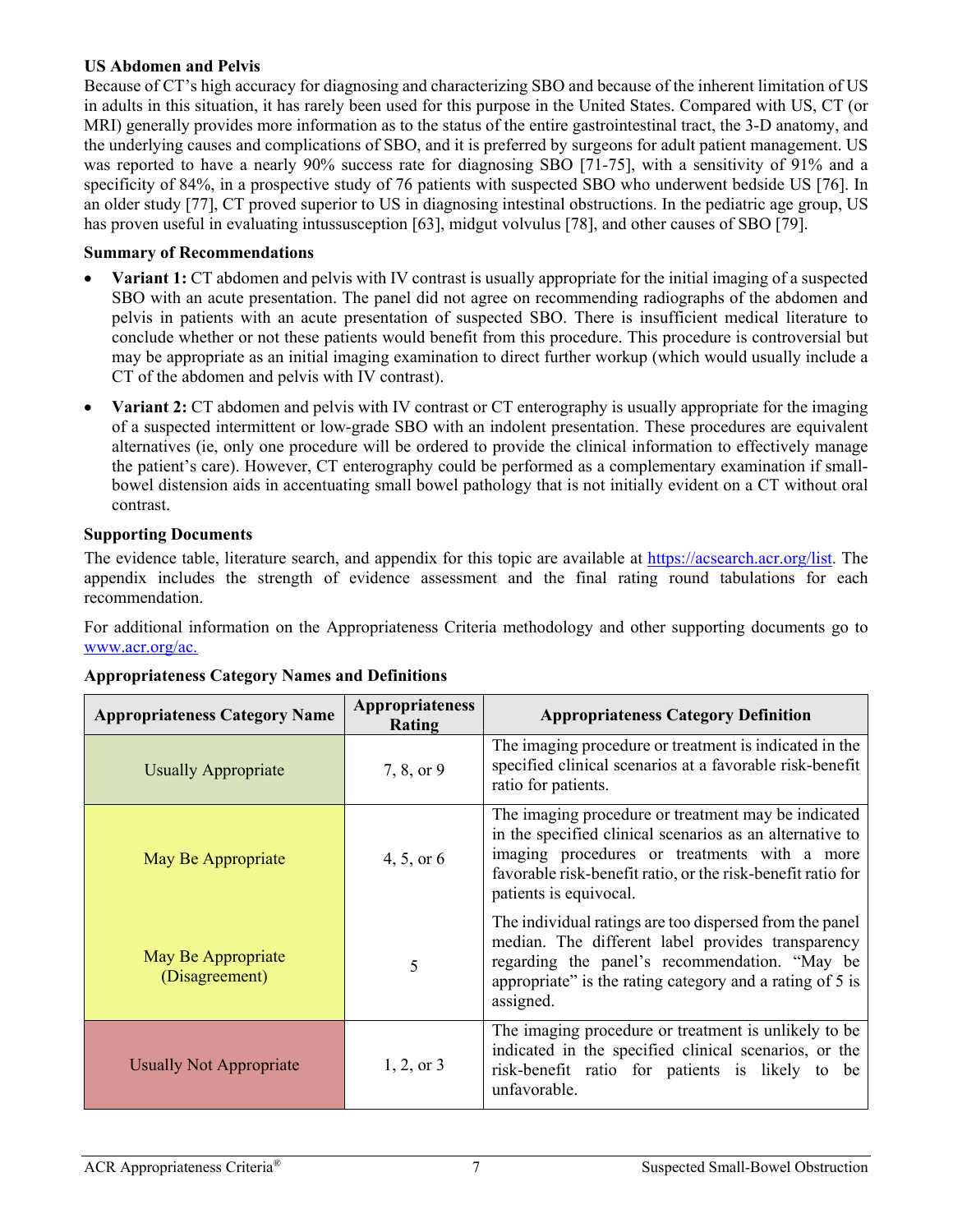### **US Abdomen and Pelvis**

Because of CT's high accuracy for diagnosing and characterizing SBO and because of the inherent limitation of US in adults in this situation, it has rarely been used for this purpose in the United States. Compared with US, CT (or MRI) generally provides more information as to the status of the entire gastrointestinal tract, the 3-D anatomy, and the underlying causes and complications of SBO, and it is preferred by surgeons for adult patient management. US was reported to have a nearly 90% success rate for diagnosing SBO [71-75], with a sensitivity of 91% and a specificity of 84%, in a prospective study of 76 patients with suspected SBO who underwent bedside US [76]. In an older study [77], CT proved superior to US in diagnosing intestinal obstructions. In the pediatric age group, US has proven useful in evaluating intussusception [63], midgut volvulus [78], and other causes of SBO [79].

### **Summary of Recommendations**

- **Variant 1:** CT abdomen and pelvis with IV contrast is usually appropriate for the initial imaging of a suspected SBO with an acute presentation. The panel did not agree on recommending radiographs of the abdomen and pelvis in patients with an acute presentation of suspected SBO. There is insufficient medical literature to conclude whether or not these patients would benefit from this procedure. This procedure is controversial but may be appropriate as an initial imaging examination to direct further workup (which would usually include a CT of the abdomen and pelvis with IV contrast).
- **Variant 2:** CT abdomen and pelvis with IV contrast or CT enterography is usually appropriate for the imaging of a suspected intermittent or low-grade SBO with an indolent presentation. These procedures are equivalent alternatives (ie, only one procedure will be ordered to provide the clinical information to effectively manage the patient's care). However, CT enterography could be performed as a complementary examination if smallbowel distension aids in accentuating small bowel pathology that is not initially evident on a CT without oral contrast.

#### **Supporting Documents**

The evidence table, literature search, and appendix for this topic are available at [https://acsearch.acr.org/list.](https://acsearch.acr.org/list) The appendix includes the strength of evidence assessment and the final rating round tabulations for each recommendation.

For additional information on the Appropriateness Criteria methodology and other supporting documents go to [www.acr.org/ac.](https://www.acr.org/Clinical-Resources/ACR-Appropriateness-Criteria)

| <b>Appropriateness Category Name</b> | Appropriateness<br>Rating | <b>Appropriateness Category Definition</b>                                                                                                                                                                                                               |
|--------------------------------------|---------------------------|----------------------------------------------------------------------------------------------------------------------------------------------------------------------------------------------------------------------------------------------------------|
| <b>Usually Appropriate</b>           | 7, 8, or 9                | The imaging procedure or treatment is indicated in the<br>specified clinical scenarios at a favorable risk-benefit<br>ratio for patients.                                                                                                                |
| May Be Appropriate                   | 4, 5, or $6$              | The imaging procedure or treatment may be indicated<br>in the specified clinical scenarios as an alternative to<br>imaging procedures or treatments with a more<br>favorable risk-benefit ratio, or the risk-benefit ratio for<br>patients is equivocal. |
| May Be Appropriate<br>(Disagreement) | 5                         | The individual ratings are too dispersed from the panel<br>median. The different label provides transparency<br>regarding the panel's recommendation. "May be<br>appropriate" is the rating category and a rating of 5 is<br>assigned.                   |
| <b>Usually Not Appropriate</b>       | $1, 2,$ or 3              | The imaging procedure or treatment is unlikely to be<br>indicated in the specified clinical scenarios, or the<br>risk-benefit ratio for patients is likely to be<br>unfavorable.                                                                         |

### **Appropriateness Category Names and Definitions**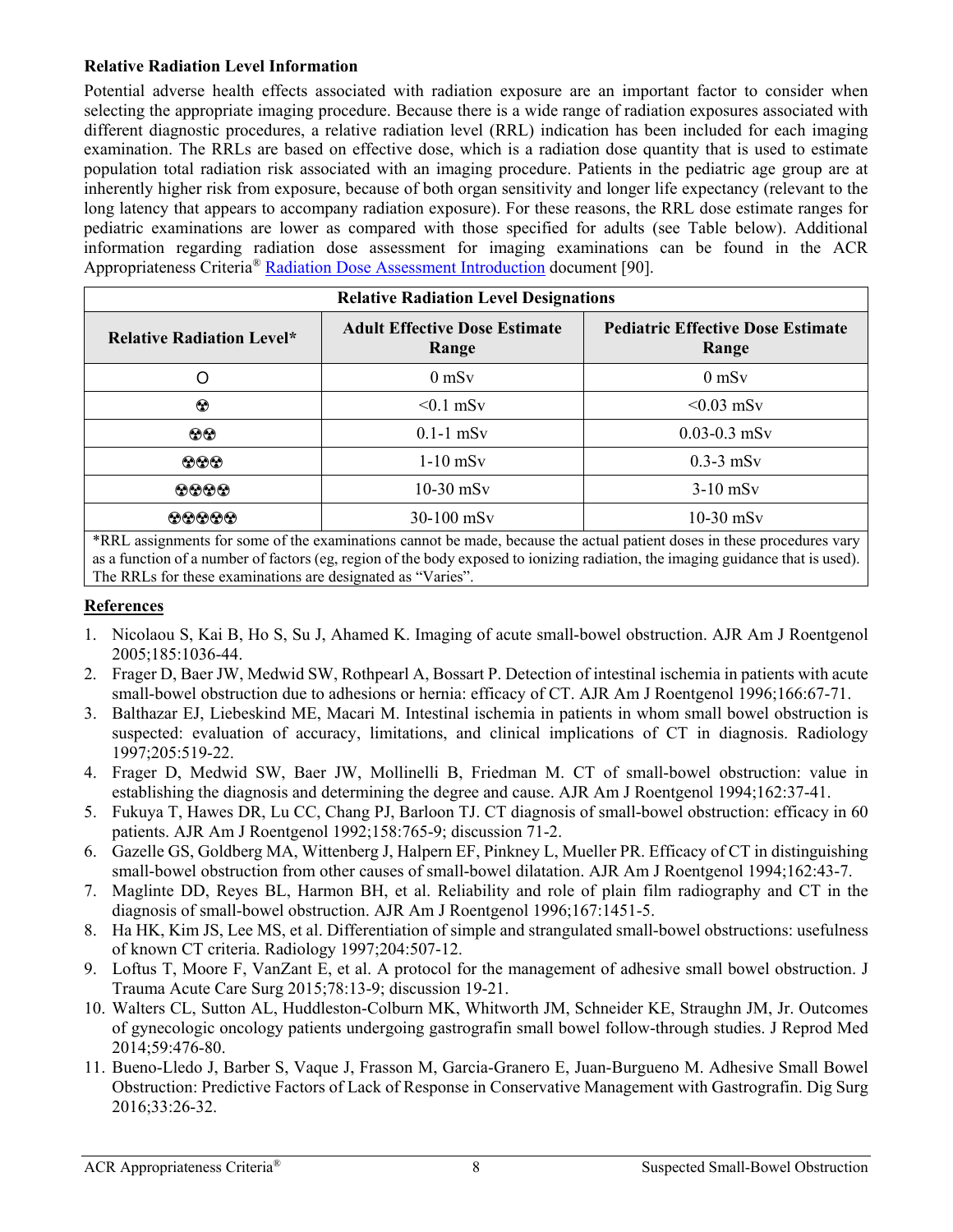### **Relative Radiation Level Information**

Potential adverse health effects associated with radiation exposure are an important factor to consider when selecting the appropriate imaging procedure. Because there is a wide range of radiation exposures associated with different diagnostic procedures, a relative radiation level (RRL) indication has been included for each imaging examination. The RRLs are based on effective dose, which is a radiation dose quantity that is used to estimate population total radiation risk associated with an imaging procedure. Patients in the pediatric age group are at inherently higher risk from exposure, because of both organ sensitivity and longer life expectancy (relevant to the long latency that appears to accompany radiation exposure). For these reasons, the RRL dose estimate ranges for pediatric examinations are lower as compared with those specified for adults (see Table below). Additional information regarding radiation dose assessment for imaging examinations can be found in the ACR Appropriateness Criteria® Radiation Dose Assessment [Introduction](https://www.acr.org/-/media/ACR/Files/Appropriateness-Criteria/RadiationDoseAssessmentIntro.pdf) document [90].

| <b>Relative Radiation Level Designations</b> |                                               |                                                                                                                                |  |  |
|----------------------------------------------|-----------------------------------------------|--------------------------------------------------------------------------------------------------------------------------------|--|--|
| <b>Relative Radiation Level*</b>             | <b>Adult Effective Dose Estimate</b><br>Range | <b>Pediatric Effective Dose Estimate</b><br>Range                                                                              |  |  |
|                                              | $0$ mS $v$                                    | $0$ mS $v$                                                                                                                     |  |  |
| ☺                                            | $< 0.1$ mSv                                   | $< 0.03$ mSv                                                                                                                   |  |  |
| $\odot\odot$                                 | $0.1-1$ mSv                                   | $0.03 - 0.3$ mSv                                                                                                               |  |  |
| $\odot \odot \odot$                          | $1-10$ mSv                                    | $0.3-3$ mSv                                                                                                                    |  |  |
| $\bf \odot\bf \odot\bf \odot$                | $10-30$ mSv                                   | $3-10$ mS <sub>v</sub>                                                                                                         |  |  |
| 00000<br>$+$ nnt<br>0.1                      | $30-100$ mSv                                  | $10-30$ mSv<br>the contract of the contract of the contract of the contract of the contract of the contract of the contract of |  |  |

\*RRL assignments for some of the examinations cannot be made, because the actual patient doses in these procedures vary as a function of a number of factors (eg, region of the body exposed to ionizing radiation, the imaging guidance that is used). The RRLs for these examinations are designated as "Varies".

### **References**

- 1. Nicolaou S, Kai B, Ho S, Su J, Ahamed K. Imaging of acute small-bowel obstruction. AJR Am J Roentgenol 2005;185:1036-44.
- 2. Frager D, Baer JW, Medwid SW, Rothpearl A, Bossart P. Detection of intestinal ischemia in patients with acute small-bowel obstruction due to adhesions or hernia: efficacy of CT. AJR Am J Roentgenol 1996;166:67-71.
- 3. Balthazar EJ, Liebeskind ME, Macari M. Intestinal ischemia in patients in whom small bowel obstruction is suspected: evaluation of accuracy, limitations, and clinical implications of CT in diagnosis. Radiology 1997;205:519-22.
- 4. Frager D, Medwid SW, Baer JW, Mollinelli B, Friedman M. CT of small-bowel obstruction: value in establishing the diagnosis and determining the degree and cause. AJR Am J Roentgenol 1994;162:37-41.
- 5. Fukuya T, Hawes DR, Lu CC, Chang PJ, Barloon TJ. CT diagnosis of small-bowel obstruction: efficacy in 60 patients. AJR Am J Roentgenol 1992;158:765-9; discussion 71-2.
- 6. Gazelle GS, Goldberg MA, Wittenberg J, Halpern EF, Pinkney L, Mueller PR. Efficacy of CT in distinguishing small-bowel obstruction from other causes of small-bowel dilatation. AJR Am J Roentgenol 1994;162:43-7.
- 7. Maglinte DD, Reyes BL, Harmon BH, et al. Reliability and role of plain film radiography and CT in the diagnosis of small-bowel obstruction. AJR Am J Roentgenol 1996;167:1451-5.
- 8. Ha HK, Kim JS, Lee MS, et al. Differentiation of simple and strangulated small-bowel obstructions: usefulness of known CT criteria. Radiology 1997;204:507-12.
- 9. Loftus T, Moore F, VanZant E, et al. A protocol for the management of adhesive small bowel obstruction. J Trauma Acute Care Surg 2015;78:13-9; discussion 19-21.
- 10. Walters CL, Sutton AL, Huddleston-Colburn MK, Whitworth JM, Schneider KE, Straughn JM, Jr. Outcomes of gynecologic oncology patients undergoing gastrografin small bowel follow-through studies. J Reprod Med 2014;59:476-80.
- 11. Bueno-Lledo J, Barber S, Vaque J, Frasson M, Garcia-Granero E, Juan-Burgueno M. Adhesive Small Bowel Obstruction: Predictive Factors of Lack of Response in Conservative Management with Gastrografin. Dig Surg 2016;33:26-32.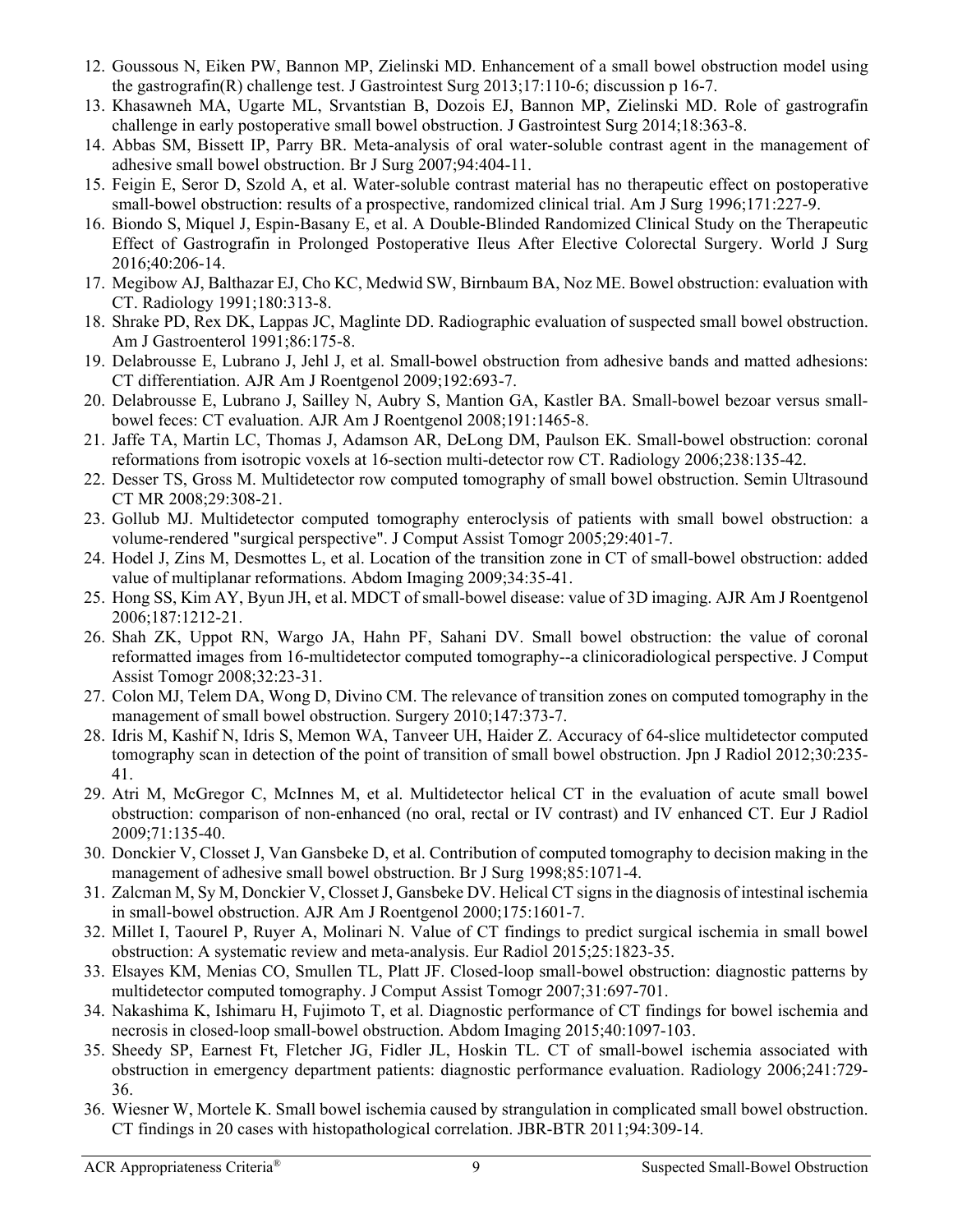- 12. Goussous N, Eiken PW, Bannon MP, Zielinski MD. Enhancement of a small bowel obstruction model using the gastrografin(R) challenge test. J Gastrointest Surg 2013;17:110-6; discussion p 16-7.
- 13. Khasawneh MA, Ugarte ML, Srvantstian B, Dozois EJ, Bannon MP, Zielinski MD. Role of gastrografin challenge in early postoperative small bowel obstruction. J Gastrointest Surg 2014;18:363-8.
- 14. Abbas SM, Bissett IP, Parry BR. Meta-analysis of oral water-soluble contrast agent in the management of adhesive small bowel obstruction. Br J Surg 2007;94:404-11.
- 15. Feigin E, Seror D, Szold A, et al. Water-soluble contrast material has no therapeutic effect on postoperative small-bowel obstruction: results of a prospective, randomized clinical trial. Am J Surg 1996;171:227-9.
- 16. Biondo S, Miquel J, Espin-Basany E, et al. A Double-Blinded Randomized Clinical Study on the Therapeutic Effect of Gastrografin in Prolonged Postoperative Ileus After Elective Colorectal Surgery. World J Surg 2016;40:206-14.
- 17. Megibow AJ, Balthazar EJ, Cho KC, Medwid SW, Birnbaum BA, Noz ME. Bowel obstruction: evaluation with CT. Radiology 1991;180:313-8.
- 18. Shrake PD, Rex DK, Lappas JC, Maglinte DD. Radiographic evaluation of suspected small bowel obstruction. Am J Gastroenterol 1991;86:175-8.
- 19. Delabrousse E, Lubrano J, Jehl J, et al. Small-bowel obstruction from adhesive bands and matted adhesions: CT differentiation. AJR Am J Roentgenol 2009;192:693-7.
- 20. Delabrousse E, Lubrano J, Sailley N, Aubry S, Mantion GA, Kastler BA. Small-bowel bezoar versus smallbowel feces: CT evaluation. AJR Am J Roentgenol 2008;191:1465-8.
- 21. Jaffe TA, Martin LC, Thomas J, Adamson AR, DeLong DM, Paulson EK. Small-bowel obstruction: coronal reformations from isotropic voxels at 16-section multi-detector row CT. Radiology 2006;238:135-42.
- 22. Desser TS, Gross M. Multidetector row computed tomography of small bowel obstruction. Semin Ultrasound CT MR 2008;29:308-21.
- 23. Gollub MJ. Multidetector computed tomography enteroclysis of patients with small bowel obstruction: a volume-rendered "surgical perspective". J Comput Assist Tomogr 2005;29:401-7.
- 24. Hodel J, Zins M, Desmottes L, et al. Location of the transition zone in CT of small-bowel obstruction: added value of multiplanar reformations. Abdom Imaging 2009;34:35-41.
- 25. Hong SS, Kim AY, Byun JH, et al. MDCT of small-bowel disease: value of 3D imaging. AJR Am J Roentgenol 2006;187:1212-21.
- 26. Shah ZK, Uppot RN, Wargo JA, Hahn PF, Sahani DV. Small bowel obstruction: the value of coronal reformatted images from 16-multidetector computed tomography--a clinicoradiological perspective. J Comput Assist Tomogr 2008;32:23-31.
- 27. Colon MJ, Telem DA, Wong D, Divino CM. The relevance of transition zones on computed tomography in the management of small bowel obstruction. Surgery 2010;147:373-7.
- 28. Idris M, Kashif N, Idris S, Memon WA, Tanveer UH, Haider Z. Accuracy of 64-slice multidetector computed tomography scan in detection of the point of transition of small bowel obstruction. Jpn J Radiol 2012;30:235- 41.
- 29. Atri M, McGregor C, McInnes M, et al. Multidetector helical CT in the evaluation of acute small bowel obstruction: comparison of non-enhanced (no oral, rectal or IV contrast) and IV enhanced CT. Eur J Radiol 2009;71:135-40.
- 30. Donckier V, Closset J, Van Gansbeke D, et al. Contribution of computed tomography to decision making in the management of adhesive small bowel obstruction. Br J Surg 1998;85:1071-4.
- 31. Zalcman M, Sy M, Donckier V, Closset J, Gansbeke DV. Helical CT signs in the diagnosis of intestinal ischemia in small-bowel obstruction. AJR Am J Roentgenol 2000;175:1601-7.
- 32. Millet I, Taourel P, Ruyer A, Molinari N. Value of CT findings to predict surgical ischemia in small bowel obstruction: A systematic review and meta-analysis. Eur Radiol 2015;25:1823-35.
- 33. Elsayes KM, Menias CO, Smullen TL, Platt JF. Closed-loop small-bowel obstruction: diagnostic patterns by multidetector computed tomography. J Comput Assist Tomogr 2007;31:697-701.
- 34. Nakashima K, Ishimaru H, Fujimoto T, et al. Diagnostic performance of CT findings for bowel ischemia and necrosis in closed-loop small-bowel obstruction. Abdom Imaging 2015;40:1097-103.
- 35. Sheedy SP, Earnest Ft, Fletcher JG, Fidler JL, Hoskin TL. CT of small-bowel ischemia associated with obstruction in emergency department patients: diagnostic performance evaluation. Radiology 2006;241:729- 36.
- 36. Wiesner W, Mortele K. Small bowel ischemia caused by strangulation in complicated small bowel obstruction. CT findings in 20 cases with histopathological correlation. JBR-BTR 2011;94:309-14.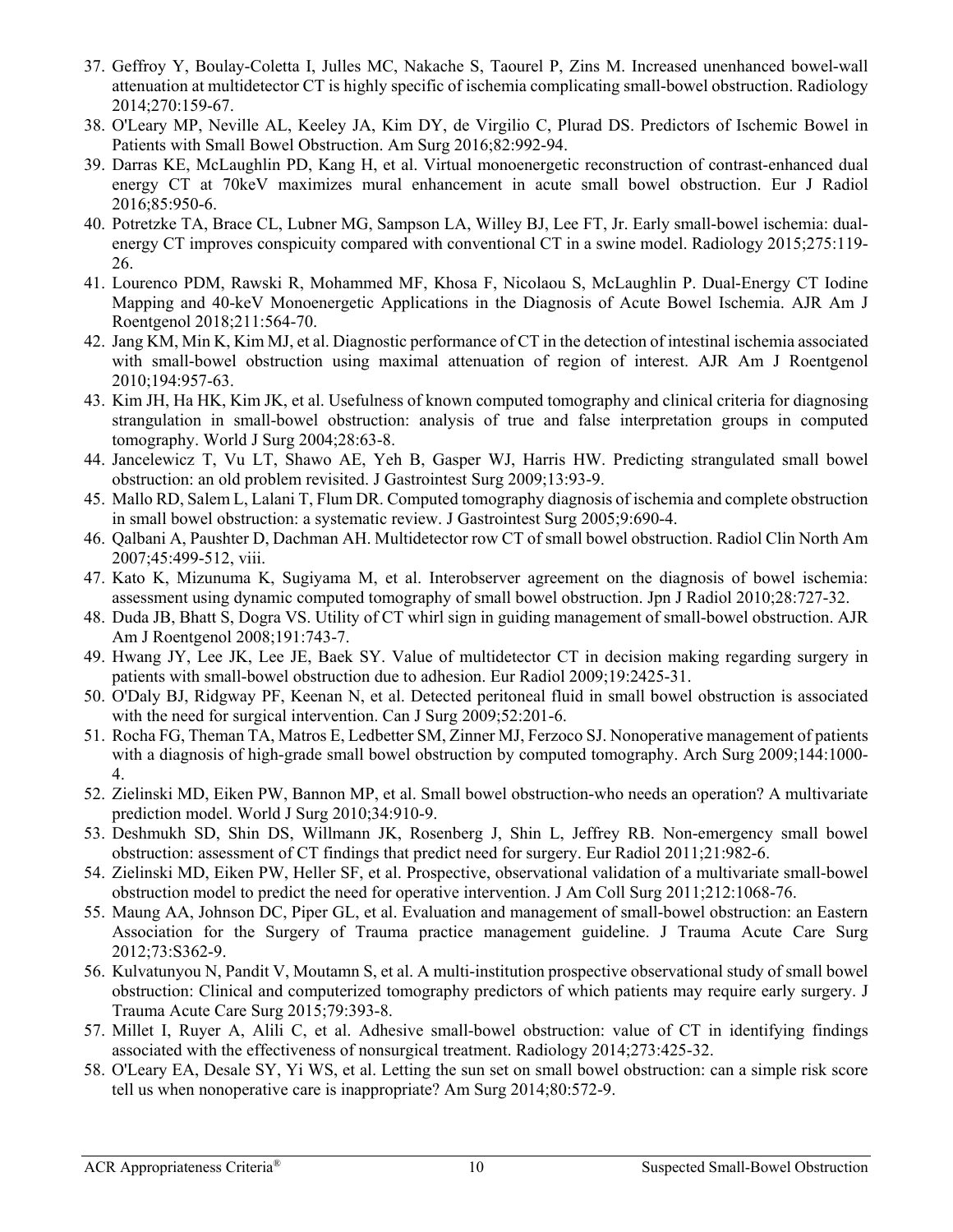- 37. Geffroy Y, Boulay-Coletta I, Julles MC, Nakache S, Taourel P, Zins M. Increased unenhanced bowel-wall attenuation at multidetector CT is highly specific of ischemia complicating small-bowel obstruction. Radiology 2014;270:159-67.
- 38. O'Leary MP, Neville AL, Keeley JA, Kim DY, de Virgilio C, Plurad DS. Predictors of Ischemic Bowel in Patients with Small Bowel Obstruction. Am Surg 2016;82:992-94.
- 39. Darras KE, McLaughlin PD, Kang H, et al. Virtual monoenergetic reconstruction of contrast-enhanced dual energy CT at 70keV maximizes mural enhancement in acute small bowel obstruction. Eur J Radiol 2016;85:950-6.
- 40. Potretzke TA, Brace CL, Lubner MG, Sampson LA, Willey BJ, Lee FT, Jr. Early small-bowel ischemia: dualenergy CT improves conspicuity compared with conventional CT in a swine model. Radiology 2015;275:119- 26.
- 41. Lourenco PDM, Rawski R, Mohammed MF, Khosa F, Nicolaou S, McLaughlin P. Dual-Energy CT Iodine Mapping and 40-keV Monoenergetic Applications in the Diagnosis of Acute Bowel Ischemia. AJR Am J Roentgenol 2018;211:564-70.
- 42. Jang KM, Min K, Kim MJ, et al. Diagnostic performance of CT in the detection of intestinal ischemia associated with small-bowel obstruction using maximal attenuation of region of interest. AJR Am J Roentgenol 2010;194:957-63.
- 43. Kim JH, Ha HK, Kim JK, et al. Usefulness of known computed tomography and clinical criteria for diagnosing strangulation in small-bowel obstruction: analysis of true and false interpretation groups in computed tomography. World J Surg 2004;28:63-8.
- 44. Jancelewicz T, Vu LT, Shawo AE, Yeh B, Gasper WJ, Harris HW. Predicting strangulated small bowel obstruction: an old problem revisited. J Gastrointest Surg 2009;13:93-9.
- 45. Mallo RD, Salem L, Lalani T, Flum DR. Computed tomography diagnosis of ischemia and complete obstruction in small bowel obstruction: a systematic review. J Gastrointest Surg 2005;9:690-4.
- 46. Qalbani A, Paushter D, Dachman AH. Multidetector row CT of small bowel obstruction. Radiol Clin North Am 2007;45:499-512, viii.
- 47. Kato K, Mizunuma K, Sugiyama M, et al. Interobserver agreement on the diagnosis of bowel ischemia: assessment using dynamic computed tomography of small bowel obstruction. Jpn J Radiol 2010;28:727-32.
- 48. Duda JB, Bhatt S, Dogra VS. Utility of CT whirl sign in guiding management of small-bowel obstruction. AJR Am J Roentgenol 2008;191:743-7.
- 49. Hwang JY, Lee JK, Lee JE, Baek SY. Value of multidetector CT in decision making regarding surgery in patients with small-bowel obstruction due to adhesion. Eur Radiol 2009;19:2425-31.
- 50. O'Daly BJ, Ridgway PF, Keenan N, et al. Detected peritoneal fluid in small bowel obstruction is associated with the need for surgical intervention. Can J Surg 2009;52:201-6.
- 51. Rocha FG, Theman TA, Matros E, Ledbetter SM, Zinner MJ, Ferzoco SJ. Nonoperative management of patients with a diagnosis of high-grade small bowel obstruction by computed tomography. Arch Surg 2009;144:1000- 4.
- 52. Zielinski MD, Eiken PW, Bannon MP, et al. Small bowel obstruction-who needs an operation? A multivariate prediction model. World J Surg 2010;34:910-9.
- 53. Deshmukh SD, Shin DS, Willmann JK, Rosenberg J, Shin L, Jeffrey RB. Non-emergency small bowel obstruction: assessment of CT findings that predict need for surgery. Eur Radiol 2011;21:982-6.
- 54. Zielinski MD, Eiken PW, Heller SF, et al. Prospective, observational validation of a multivariate small-bowel obstruction model to predict the need for operative intervention. J Am Coll Surg 2011;212:1068-76.
- 55. Maung AA, Johnson DC, Piper GL, et al. Evaluation and management of small-bowel obstruction: an Eastern Association for the Surgery of Trauma practice management guideline. J Trauma Acute Care Surg 2012;73:S362-9.
- 56. Kulvatunyou N, Pandit V, Moutamn S, et al. A multi-institution prospective observational study of small bowel obstruction: Clinical and computerized tomography predictors of which patients may require early surgery. J Trauma Acute Care Surg 2015;79:393-8.
- 57. Millet I, Ruyer A, Alili C, et al. Adhesive small-bowel obstruction: value of CT in identifying findings associated with the effectiveness of nonsurgical treatment. Radiology 2014;273:425-32.
- 58. O'Leary EA, Desale SY, Yi WS, et al. Letting the sun set on small bowel obstruction: can a simple risk score tell us when nonoperative care is inappropriate? Am Surg 2014;80:572-9.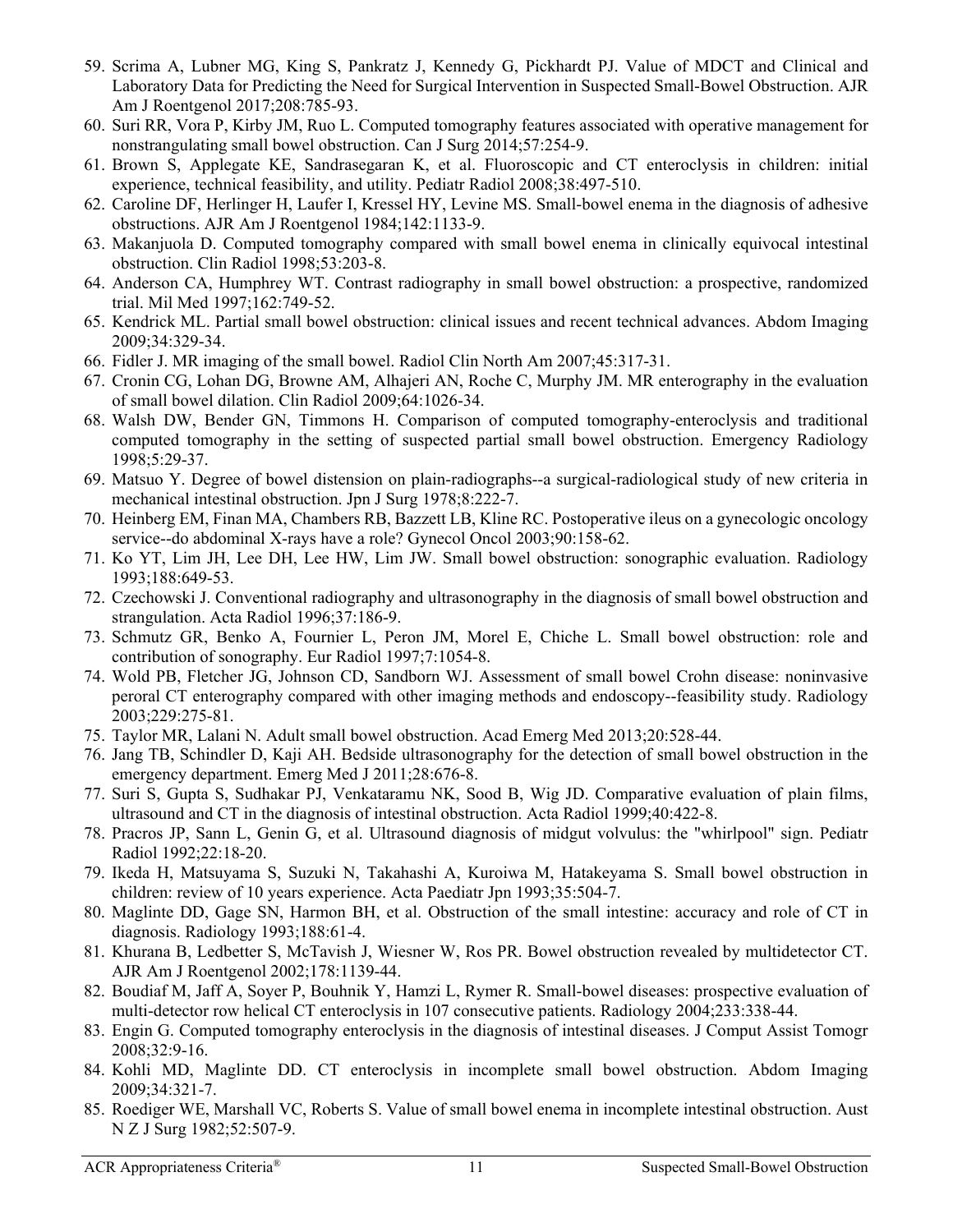- 59. Scrima A, Lubner MG, King S, Pankratz J, Kennedy G, Pickhardt PJ. Value of MDCT and Clinical and Laboratory Data for Predicting the Need for Surgical Intervention in Suspected Small-Bowel Obstruction. AJR Am J Roentgenol 2017;208:785-93.
- 60. Suri RR, Vora P, Kirby JM, Ruo L. Computed tomography features associated with operative management for nonstrangulating small bowel obstruction. Can J Surg 2014;57:254-9.
- 61. Brown S, Applegate KE, Sandrasegaran K, et al. Fluoroscopic and CT enteroclysis in children: initial experience, technical feasibility, and utility. Pediatr Radiol 2008;38:497-510.
- 62. Caroline DF, Herlinger H, Laufer I, Kressel HY, Levine MS. Small-bowel enema in the diagnosis of adhesive obstructions. AJR Am J Roentgenol 1984;142:1133-9.
- 63. Makanjuola D. Computed tomography compared with small bowel enema in clinically equivocal intestinal obstruction. Clin Radiol 1998;53:203-8.
- 64. Anderson CA, Humphrey WT. Contrast radiography in small bowel obstruction: a prospective, randomized trial. Mil Med 1997;162:749-52.
- 65. Kendrick ML. Partial small bowel obstruction: clinical issues and recent technical advances. Abdom Imaging 2009;34:329-34.
- 66. Fidler J. MR imaging of the small bowel. Radiol Clin North Am 2007;45:317-31.
- 67. Cronin CG, Lohan DG, Browne AM, Alhajeri AN, Roche C, Murphy JM. MR enterography in the evaluation of small bowel dilation. Clin Radiol 2009;64:1026-34.
- 68. Walsh DW, Bender GN, Timmons H. Comparison of computed tomography-enteroclysis and traditional computed tomography in the setting of suspected partial small bowel obstruction. Emergency Radiology 1998;5:29-37.
- 69. Matsuo Y. Degree of bowel distension on plain-radiographs--a surgical-radiological study of new criteria in mechanical intestinal obstruction. Jpn J Surg 1978;8:222-7.
- 70. Heinberg EM, Finan MA, Chambers RB, Bazzett LB, Kline RC. Postoperative ileus on a gynecologic oncology service--do abdominal X-rays have a role? Gynecol Oncol 2003;90:158-62.
- 71. Ko YT, Lim JH, Lee DH, Lee HW, Lim JW. Small bowel obstruction: sonographic evaluation. Radiology 1993;188:649-53.
- 72. Czechowski J. Conventional radiography and ultrasonography in the diagnosis of small bowel obstruction and strangulation. Acta Radiol 1996;37:186-9.
- 73. Schmutz GR, Benko A, Fournier L, Peron JM, Morel E, Chiche L. Small bowel obstruction: role and contribution of sonography. Eur Radiol 1997;7:1054-8.
- 74. Wold PB, Fletcher JG, Johnson CD, Sandborn WJ. Assessment of small bowel Crohn disease: noninvasive peroral CT enterography compared with other imaging methods and endoscopy--feasibility study. Radiology 2003;229:275-81.
- 75. Taylor MR, Lalani N. Adult small bowel obstruction. Acad Emerg Med 2013;20:528-44.
- 76. Jang TB, Schindler D, Kaji AH. Bedside ultrasonography for the detection of small bowel obstruction in the emergency department. Emerg Med J 2011;28:676-8.
- 77. Suri S, Gupta S, Sudhakar PJ, Venkataramu NK, Sood B, Wig JD. Comparative evaluation of plain films, ultrasound and CT in the diagnosis of intestinal obstruction. Acta Radiol 1999;40:422-8.
- 78. Pracros JP, Sann L, Genin G, et al. Ultrasound diagnosis of midgut volvulus: the "whirlpool" sign. Pediatr Radiol 1992;22:18-20.
- 79. Ikeda H, Matsuyama S, Suzuki N, Takahashi A, Kuroiwa M, Hatakeyama S. Small bowel obstruction in children: review of 10 years experience. Acta Paediatr Jpn 1993;35:504-7.
- 80. Maglinte DD, Gage SN, Harmon BH, et al. Obstruction of the small intestine: accuracy and role of CT in diagnosis. Radiology 1993;188:61-4.
- 81. Khurana B, Ledbetter S, McTavish J, Wiesner W, Ros PR. Bowel obstruction revealed by multidetector CT. AJR Am J Roentgenol 2002;178:1139-44.
- 82. Boudiaf M, Jaff A, Soyer P, Bouhnik Y, Hamzi L, Rymer R. Small-bowel diseases: prospective evaluation of multi-detector row helical CT enteroclysis in 107 consecutive patients. Radiology 2004;233:338-44.
- 83. Engin G. Computed tomography enteroclysis in the diagnosis of intestinal diseases. J Comput Assist Tomogr 2008;32:9-16.
- 84. Kohli MD, Maglinte DD. CT enteroclysis in incomplete small bowel obstruction. Abdom Imaging 2009;34:321-7.
- 85. Roediger WE, Marshall VC, Roberts S. Value of small bowel enema in incomplete intestinal obstruction. Aust N Z J Surg 1982;52:507-9.